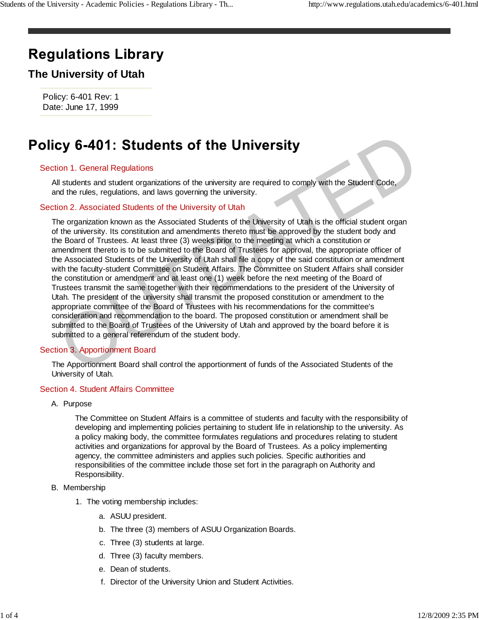# **Regulations Library**

## **The University of Utah**

Policy: 6-401 Rev: 1 Date: June 17, 1999

### Section 1. General Regulations

All students and student organizations of the university are required to comply with the Student Code, and the rules, regulations, and laws governing the university.

#### Section 2. Associated Students of the University of Utah

The organization known as the Associated Students of the University of Utah is the official student organ of the university. Its constitution and amendments thereto must be approved by the student body and the Board of Trustees. At least three (3) weeks prior to the meeting at which a constitution or amendment thereto is to be submitted to the Board of Trustees for approval, the appropriate officer of the Associated Students of the University of Utah shall file a copy of the said constitution or amendment with the faculty-student Committee on Student Affairs. The Committee on Student Affairs shall consider the constitution or amendment and at least one (1) week before the next meeting of the Board of Trustees transmit the same together with their recommendations to the president of the University of Utah. The president of the university shall transmit the proposed constitution or amendment to the appropriate committee of the Board of Trustees with his recommendations for the committee's consideration and recommendation to the board. The proposed constitution or amendment shall be submitted to the Board of Trustees of the University of Utah and approved by the board before it is submitted to a general referendum of the student body. Cy 6-401: Students of the University<br>ion 1. General Regulations<br>Il students and student organizations of the university are required to comply with the Student Code,<br>In diversits and student organizations of the university

### Section 3. Apportionment Board

The Apportionment Board shall control the apportionment of funds of the Associated Students of the University of Utah.

#### Section 4. Student Affairs Committee

A. Purpose

The Committee on Student Affairs is a committee of students and faculty with the responsibility of developing and implementing policies pertaining to student life in relationship to the university. As a policy making body, the committee formulates regulations and procedures relating to student activities and organizations for approval by the Board of Trustees. As a policy implementing agency, the committee administers and applies such policies. Specific authorities and responsibilities of the committee include those set fort in the paragraph on Authority and Responsibility.

#### B. Membership

- 1. The voting membership includes:
	- a. ASUU president.
	- b. The three (3) members of ASUU Organization Boards.
	- c. Three (3) students at large.
	- d. Three (3) faculty members.
	- e. Dean of students.
	- f. Director of the University Union and Student Activities.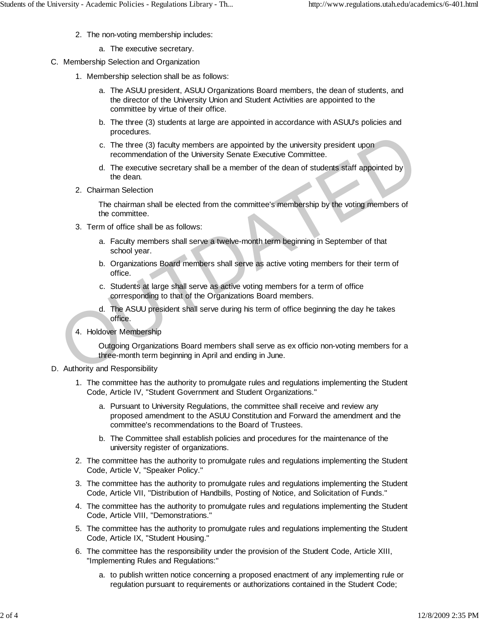- 2. The non-voting membership includes:
	- a. The executive secretary.
- C. Membership Selection and Organization
	- 1. Membership selection shall be as follows:
		- a. The ASUU president, ASUU Organizations Board members, the dean of students, and the director of the University Union and Student Activities are appointed to the committee by virtue of their office.
		- b. The three (3) students at large are appointed in accordance with ASUU's policies and procedures.
		- The three (3) faculty members are appointed by the university president upon c. recommendation of the University Senate Executive Committee.
		- d. The executive secretary shall be a member of the dean of students staff appointed by the dean.
	- 2. Chairman Selection

The chairman shall be elected from the committee's membership by the voting members of the committee.

- 3. Term of office shall be as follows:
	- a. Faculty members shall serve a twelve-month term beginning in September of that school year.
	- b. Organizations Board members shall serve as active voting members for their term of office.
	- c. Students at large shall serve as active voting members for a term of office corresponding to that of the Organizations Board members.
	- d. The ASUU president shall serve during his term of office beginning the day he takes office.
- 4. Holdover Membership

Outgoing Organizations Board members shall serve as ex officio non-voting members for a three-month term beginning in April and ending in June. C. The three (3) faculty members are appointed by the university president upon<br>recommendation of the University Senate Executive Committee.<br>d. The executive secretary shall be a member of the dean of students staff appoin

- D. Authority and Responsibility
	- 1. The committee has the authority to promulgate rules and regulations implementing the Student Code, Article IV, "Student Government and Student Organizations."
		- a. Pursuant to University Regulations, the committee shall receive and review any proposed amendment to the ASUU Constitution and Forward the amendment and the committee's recommendations to the Board of Trustees.
		- b. The Committee shall establish policies and procedures for the maintenance of the university register of organizations.
	- 2. The committee has the authority to promulgate rules and regulations implementing the Student Code, Article V, "Speaker Policy."
	- 3. The committee has the authority to promulgate rules and regulations implementing the Student Code, Article VII, "Distribution of Handbills, Posting of Notice, and Solicitation of Funds."
	- 4. The committee has the authority to promulgate rules and regulations implementing the Student Code, Article VIII, "Demonstrations."
	- 5. The committee has the authority to promulgate rules and regulations implementing the Student Code, Article IX, "Student Housing."
	- 6. The committee has the responsibility under the provision of the Student Code, Article XIII, "Implementing Rules and Regulations:"
		- a. to publish written notice concerning a proposed enactment of any implementing rule or regulation pursuant to requirements or authorizations contained in the Student Code;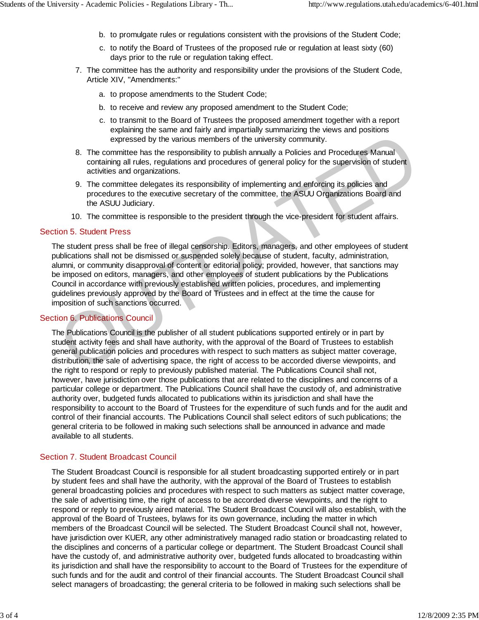- b. to promulgate rules or regulations consistent with the provisions of the Student Code;
- c. to notify the Board of Trustees of the proposed rule or regulation at least sixty (60) days prior to the rule or regulation taking effect.
- 7. The committee has the authority and responsibility under the provisions of the Student Code, Article XIV, "Amendments:"
	- a. to propose amendments to the Student Code;
	- b. to receive and review any proposed amendment to the Student Code;
	- c. to transmit to the Board of Trustees the proposed amendment together with a report explaining the same and fairly and impartially summarizing the views and positions expressed by the various members of the university community.
- 8. The committee has the responsibility to publish annually a Policies and Procedures Manual containing all rules, regulations and procedures of general policy for the supervision of student activities and organizations.
- 9. The committee delegates its responsibility of implementing and enforcing its policies and procedures to the executive secretary of the committee, the ASUU Organizations Board and the ASUU Judiciary.
- 10. The committee is responsible to the president through the vice-president for student affairs.

#### Section 5. Student Press

The student press shall be free of illegal censorship. Editors, managers, and other employees of student publications shall not be dismissed or suspended solely because of student, faculty, administration, alumni, or community disapproval of content or editorial policy; provided, however, that sanctions may be imposed on editors, managers, and other employees of student publications by the Publications Council in accordance with previously established written policies, procedures, and implementing guidelines previously approved by the Board of Trustees and in effect at the time the cause for imposition of such sanctions occurred. expressed by the various members of the university community.<br>
8. The committee has the responsibility to publish annually a Policies and Procedures Manual<br>
containing all rules, regulations and procedures of general polic

#### Section 6. Publications Council

The Publications Council is the publisher of all student publications supported entirely or in part by student activity fees and shall have authority, with the approval of the Board of Trustees to establish general publication policies and procedures with respect to such matters as subject matter coverage, distribution, the sale of advertising space, the right of access to be accorded diverse viewpoints, and the right to respond or reply to previously published material. The Publications Council shall not, however, have jurisdiction over those publications that are related to the disciplines and concerns of a particular college or department. The Publications Council shall have the custody of, and administrative authority over, budgeted funds allocated to publications within its jurisdiction and shall have the responsibility to account to the Board of Trustees for the expenditure of such funds and for the audit and control of their financial accounts. The Publications Council shall select editors of such publications; the general criteria to be followed in making such selections shall be announced in advance and made available to all students.

#### Section 7. Student Broadcast Council

The Student Broadcast Council is responsible for all student broadcasting supported entirely or in part by student fees and shall have the authority, with the approval of the Board of Trustees to establish general broadcasting policies and procedures with respect to such matters as subject matter coverage, the sale of advertising time, the right of access to be accorded diverse viewpoints, and the right to respond or reply to previously aired material. The Student Broadcast Council will also establish, with the approval of the Board of Trustees, bylaws for its own governance, including the matter in which members of the Broadcast Council will be selected. The Student Broadcast Council shall not, however, have jurisdiction over KUER, any other administratively managed radio station or broadcasting related to the disciplines and concerns of a particular college or department. The Student Broadcast Council shall have the custody of, and administrative authority over, budgeted funds allocated to broadcasting within its jurisdiction and shall have the responsibility to account to the Board of Trustees for the expenditure of such funds and for the audit and control of their financial accounts. The Student Broadcast Council shall select managers of broadcasting; the general criteria to be followed in making such selections shall be